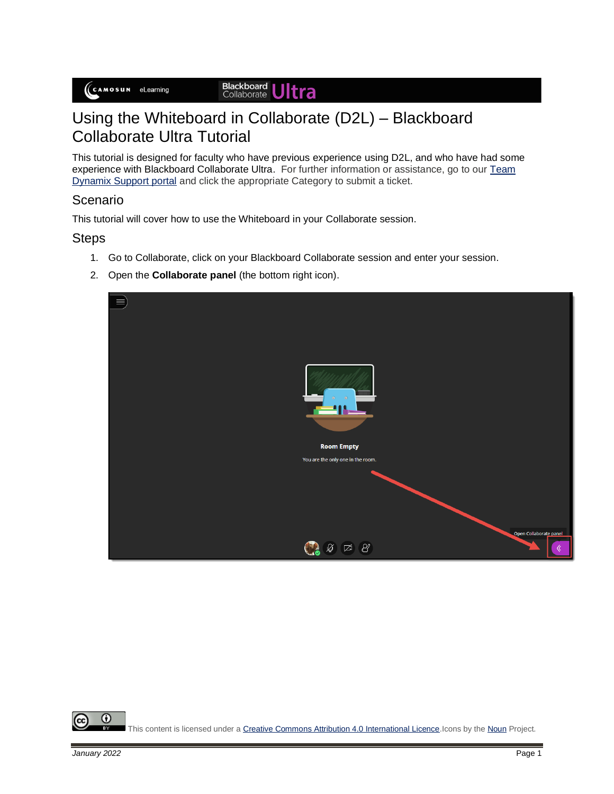**Blackboard Ultra** 

## Using the Whiteboard in Collaborate (D2L) – Blackboard Collaborate Ultra Tutorial

This tutorial is designed for faculty who have previous experience using D2L, and who have had some experience with Blackboard Collaborate Ultra. For further information or assistance, go to our Team [Dynamix Support portal](https://camosun.teamdynamix.com/TDClient/67/Portal/Requests/ServiceCatalog?CategoryID=523) and click the appropriate Category to submit a ticket.

## Scenario

This tutorial will cover how to use the Whiteboard in your Collaborate session.

## **Steps**

- 1. Go to Collaborate, click on your Blackboard Collaborate session and enter your session.
- 2. Open the **Collaborate panel** (the bottom right icon).



0 This content is licensed under [a Creative Commons Attribution 4.0 International Licence.I](https://creativecommons.org/licenses/by/4.0/)cons by th[e Noun](https://creativecommons.org/website-icons/) Project.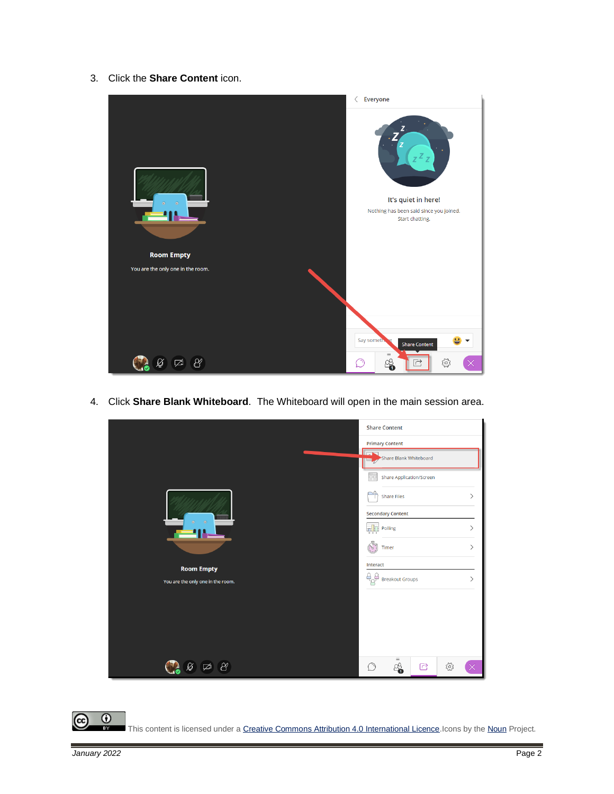3. Click the **Share Content** icon.



4. Click **Share Blank Whiteboard**. The Whiteboard will open in the main session area.



 $\overline{\odot}$ This content is licensed under [a Creative Commons Attribution 4.0 International Licence.I](https://creativecommons.org/licenses/by/4.0/)cons by th[e Noun](https://creativecommons.org/website-icons/) Project.

(cc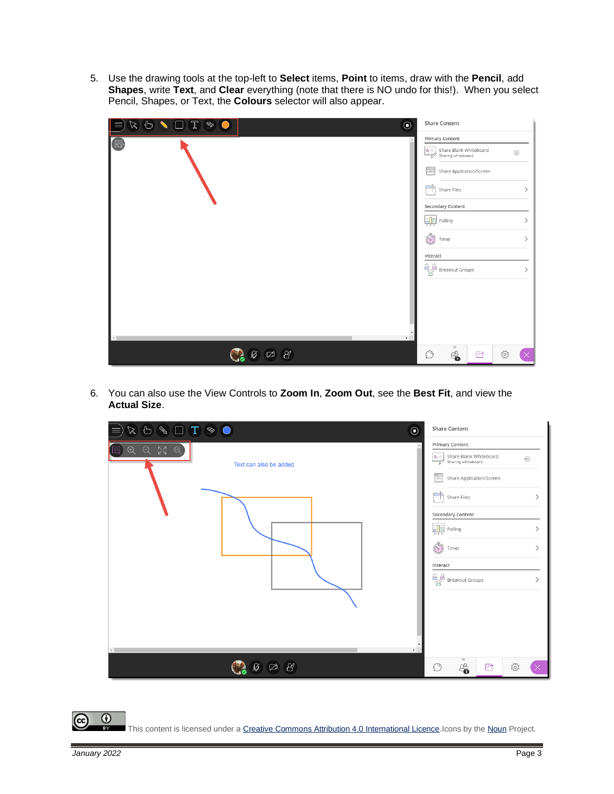5. Use the drawing tools at the top-left to **Select** items, **Point** to items, draw with the **Pencil**, add **Shapes**, write **Text**, and **Clear** everything (note that there is NO undo for this!). When you select Pencil, Shapes, or Text, the **Colours** selector will also appear.

| $R \cup \bigcup \mathcal{T} \text{ } \textcircled{1}$<br> ≡ |                                              | $\odot$ | <b>Share Content</b>                                                                                                                                                                                                                                                   |             |     |               |
|-------------------------------------------------------------|----------------------------------------------|---------|------------------------------------------------------------------------------------------------------------------------------------------------------------------------------------------------------------------------------------------------------------------------|-------------|-----|---------------|
| $\sqrt{5}$<br>$\left\langle \cdot \right\rangle$            |                                              | Þ.      | Primary Content<br>$\boxed{\text{G}}$ Share Blank Whiteboard<br>Sharing whiteboard<br>$\sqrt{\frac{100}{100}}$ Share Application/Screen<br>∼≏<br>Share Files<br>Secondary Content<br><b>Polling</b><br>S<br>Timer<br>Interact<br>$\overline{Q}$ Breakout Groups<br>$=$ |             |     | $^\copyright$ |
|                                                             | $\overline{M}$ $\overline{M}$ $\overline{M}$ |         | 4<br>$\circlearrowright$                                                                                                                                                                                                                                               | $\triangle$ | ద్ర |               |

6. You can also use the View Controls to **Zoom In**, **Zoom Out**, see the **Best Fit**, and view the **Actual Size**.

| $\begin{picture}(16,15) \put(0,0){\line(1,0){10}} \put(15,0){\line(1,0){10}} \put(15,0){\line(1,0){10}} \put(15,0){\line(1,0){10}} \put(15,0){\line(1,0){10}} \put(15,0){\line(1,0){10}} \put(15,0){\line(1,0){10}} \put(15,0){\line(1,0){10}} \put(15,0){\line(1,0){10}} \put(15,0){\line(1,0){10}} \put(15,0){\line(1,0){10}} \put(15,0){\line(1$<br>$\odot$<br>Ξ | <b>Share Content</b>                                                                                                                                                                                                                                                       |  |  |  |
|---------------------------------------------------------------------------------------------------------------------------------------------------------------------------------------------------------------------------------------------------------------------------------------------------------------------------------------------------------------------|----------------------------------------------------------------------------------------------------------------------------------------------------------------------------------------------------------------------------------------------------------------------------|--|--|--|
| $\begin{matrix}\n\mathbb{Q} & \mathbb{Q} & \mathbb{M}\n\end{matrix}$<br>$\bigoplus$<br>lਨ<br>Text can also be added<br>$\leftarrow$                                                                                                                                                                                                                                 | Primary Content<br>Share Blank Whiteboard<br>$\bullet \equiv$<br>$^\copyright$<br>Sharing whiteboard<br>Ëg<br>Share Application/Screen<br>পী<br>Share Files<br>Secondary Content<br><b>Polling</b><br>J<br>Timer<br>Interact<br>$A^{\mathcal{A}}_{\alpha}$ Breakout Groups |  |  |  |
| $\sqrt{2}$ $\sqrt{2}$                                                                                                                                                                                                                                                                                                                                               | $\equiv$<br>8<br>ర్లస్త<br>$\circlearrowright$<br>$\mathbb{C}$                                                                                                                                                                                                             |  |  |  |

This content is licensed under [a Creative Commons Attribution 4.0 International Licence.I](https://creativecommons.org/licenses/by/4.0/)cons by th[e Noun](https://creativecommons.org/website-icons/) Project.

(cc

 $\odot$